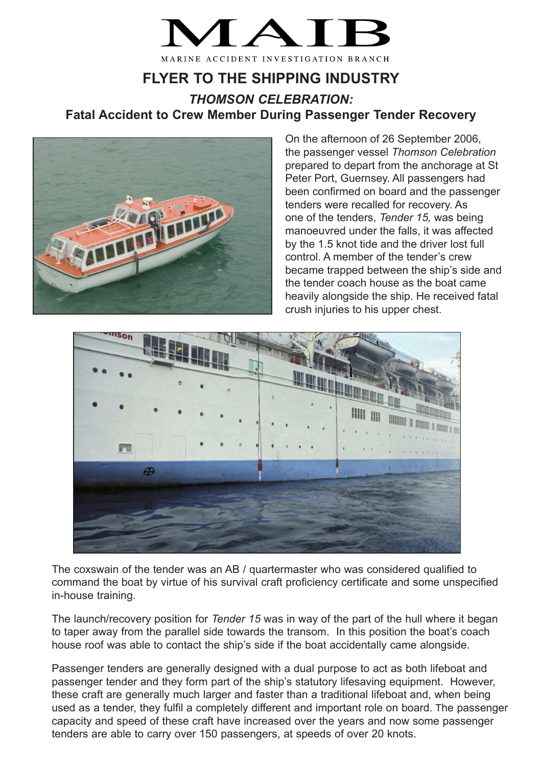

## **FLYER TO THE SHIPPING INDUSTRY**

*THOMSON CELEBRATION:* **Fatal Accident to Crew Member During Passenger Tender Recovery**



On the afternoon of 26 September 2006, the passenger vessel *Thomson Celebration* prepared to depart from the anchorage at St Peter Port, Guernsey. All passengers had been confirmed on board and the passenger tenders were recalled for recovery. As one of the tenders, *Tender 15,* was being manoeuvred under the falls, it was affected by the 1.5 knot tide and the driver lost full control. A member of the tender's crew became trapped between the ship's side and the tender coach house as the boat came heavily alongside the ship. He received fatal crush injuries to his upper chest.



The coxswain of the tender was an AB / quartermaster who was considered qualified to command the boat by virtue of his survival craft proficiency certificate and some unspecified in-house training.

The launch/recovery position for *Tender 15* was in way of the part of the hull where it began to taper away from the parallel side towards the transom. In this position the boat's coach house roof was able to contact the ship's side if the boat accidentally came alongside.

Passenger tenders are generally designed with a dual purpose to act as both lifeboat and passenger tender and they form part of the ship's statutory lifesaving equipment. However, these craft are generally much larger and faster than a traditional lifeboat and, when being used as a tender, they fulfil a completely different and important role on board. The passenger capacity and speed of these craft have increased over the years and now some passenger tenders are able to carry over 150 passengers, at speeds of over 20 knots.